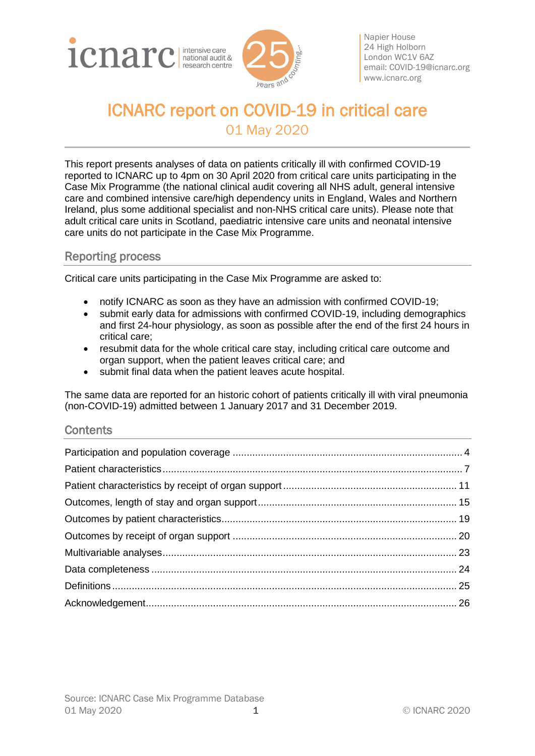



Napier House 24 High Holborn London WC1V 6AZ email: [COVID-19@icnarc.org](mailto:COVID-19@icnarc.org) [www.icnarc.org](http://www.icnarc.org/)

# ICNARC report on COVID-19 in critical care 01 May 2020

This report presents analyses of data on patients critically ill with confirmed COVID-19 reported to ICNARC up to 4pm on 30 April 2020 from critical care units participating in the Case Mix Programme (the national clinical audit covering all NHS adult, general intensive care and combined intensive care/high dependency units in England, Wales and Northern Ireland, plus some additional specialist and non-NHS critical care units). Please note that adult critical care units in Scotland, paediatric intensive care units and neonatal intensive care units do not participate in the Case Mix Programme.

# Reporting process

Critical care units participating in the Case Mix Programme are asked to:

- notify ICNARC as soon as they have an admission with confirmed COVID-19;
- submit early data for admissions with confirmed COVID-19, including demographics and first 24-hour physiology, as soon as possible after the end of the first 24 hours in critical care;
- resubmit data for the whole critical care stay, including critical care outcome and organ support, when the patient leaves critical care; and
- submit final data when the patient leaves acute hospital.

The same data are reported for an historic cohort of patients critically ill with viral pneumonia (non-COVID-19) admitted between 1 January 2017 and 31 December 2019.

### **Contents**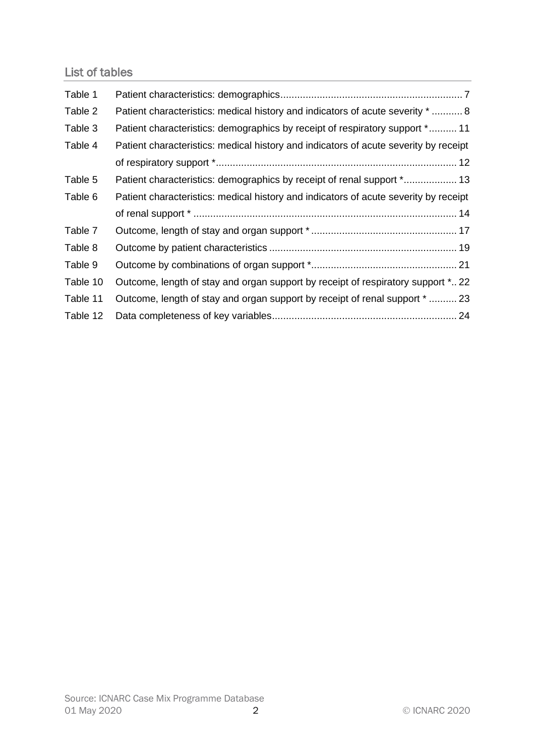# List of tables

| Table 1  |                                                                                      |
|----------|--------------------------------------------------------------------------------------|
| Table 2  | Patient characteristics: medical history and indicators of acute severity *  8       |
| Table 3  | Patient characteristics: demographics by receipt of respiratory support * 11         |
| Table 4  | Patient characteristics: medical history and indicators of acute severity by receipt |
|          |                                                                                      |
| Table 5  | Patient characteristics: demographics by receipt of renal support * 13               |
| Table 6  | Patient characteristics: medical history and indicators of acute severity by receipt |
|          |                                                                                      |
| Table 7  |                                                                                      |
| Table 8  |                                                                                      |
| Table 9  |                                                                                      |
| Table 10 | Outcome, length of stay and organ support by receipt of respiratory support * 22     |
|          |                                                                                      |
| Table 11 | Outcome, length of stay and organ support by receipt of renal support $*$ 23         |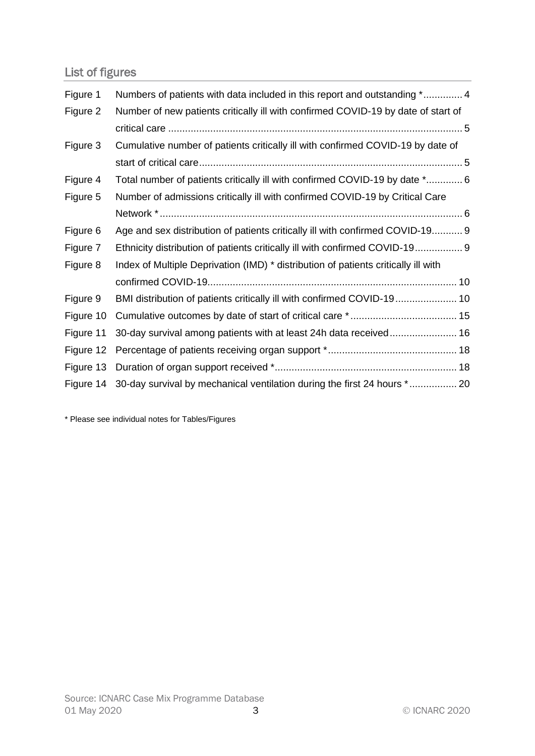# List of figures

| Figure 1  | Numbers of patients with data included in this report and outstanding * 4          |
|-----------|------------------------------------------------------------------------------------|
| Figure 2  | Number of new patients critically ill with confirmed COVID-19 by date of start of  |
|           |                                                                                    |
| Figure 3  | Cumulative number of patients critically ill with confirmed COVID-19 by date of    |
|           |                                                                                    |
| Figure 4  | Total number of patients critically ill with confirmed COVID-19 by date * 6        |
| Figure 5  | Number of admissions critically ill with confirmed COVID-19 by Critical Care       |
|           |                                                                                    |
| Figure 6  | Age and sex distribution of patients critically ill with confirmed COVID-19 9      |
| Figure 7  | Ethnicity distribution of patients critically ill with confirmed COVID-19 9        |
| Figure 8  | Index of Multiple Deprivation (IMD) * distribution of patients critically ill with |
|           |                                                                                    |
| Figure 9  | BMI distribution of patients critically ill with confirmed COVID-19 10             |
| Figure 10 |                                                                                    |
| Figure 11 | 30-day survival among patients with at least 24h data received 16                  |
| Figure 12 |                                                                                    |
| Figure 13 |                                                                                    |
| Figure 14 | 30-day survival by mechanical ventilation during the first 24 hours * 20           |

\* Please see individual notes for Tables/Figures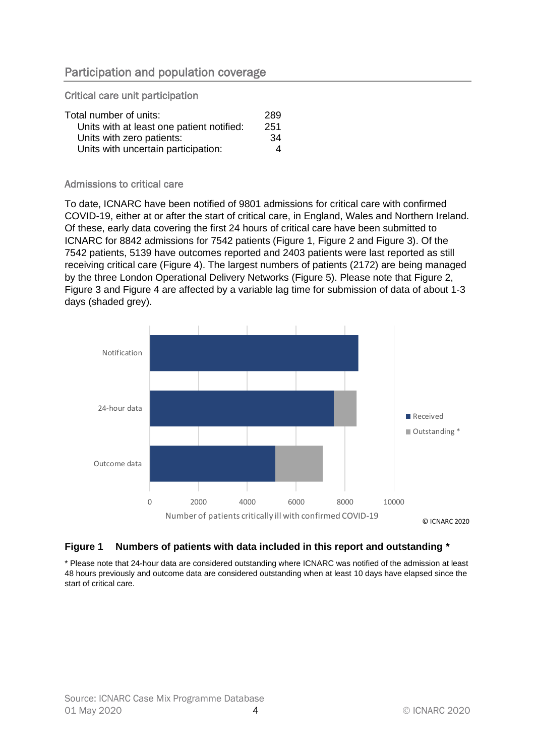# <span id="page-3-0"></span>Participation and population coverage

Critical care unit participation

| Total number of units:                    | 289 |
|-------------------------------------------|-----|
| Units with at least one patient notified: | 251 |
| Units with zero patients:                 | 34  |
| Units with uncertain participation:       | 4   |

#### Admissions to critical care

To date, ICNARC have been notified of 9801 admissions for critical care with confirmed COVID-19, either at or after the start of critical care, in England, Wales and Northern Ireland. Of these, early data covering the first 24 hours of critical care have been submitted to ICNARC for 8842 admissions for 7542 patients [\(Figure 1,](#page-3-1) [Figure 2](#page-4-0) and [Figure 3\)](#page-4-1). Of the 7542 patients, 5139 have outcomes reported and 2403 patients were last reported as still receiving critical care [\(Figure 4\)](#page-5-0). The largest numbers of patients (2172) are being managed by the three London Operational Delivery Networks [\(Figure 5\)](#page-5-1). Please note that [Figure 2,](#page-4-0) [Figure 3](#page-4-1) and [Figure 4](#page-5-0) are affected by a variable lag time for submission of data of about 1-3 days (shaded grey).



#### <span id="page-3-1"></span>**Figure 1 Numbers of patients with data included in this report and outstanding \***

\* Please note that 24-hour data are considered outstanding where ICNARC was notified of the admission at least 48 hours previously and outcome data are considered outstanding when at least 10 days have elapsed since the start of critical care.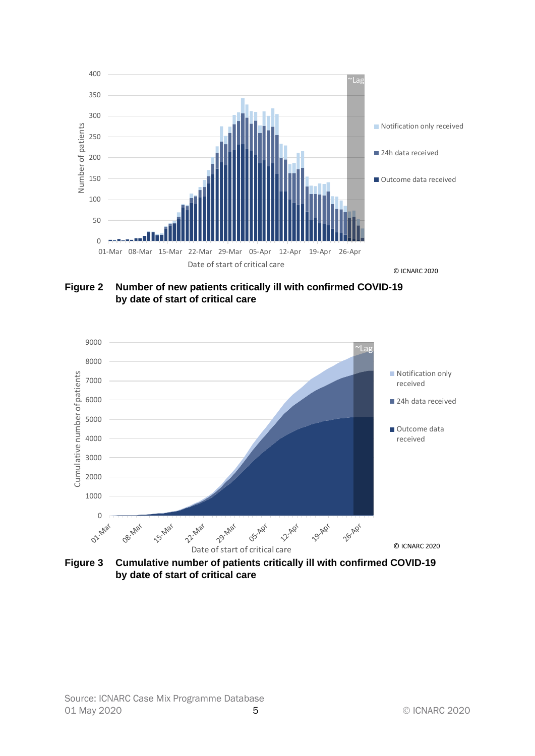

<span id="page-4-0"></span>**Figure 2 Number of new patients critically ill with confirmed COVID-19 by date of start of critical care**



<span id="page-4-1"></span>**Figure 3 Cumulative number of patients critically ill with confirmed COVID-19 by date of start of critical care**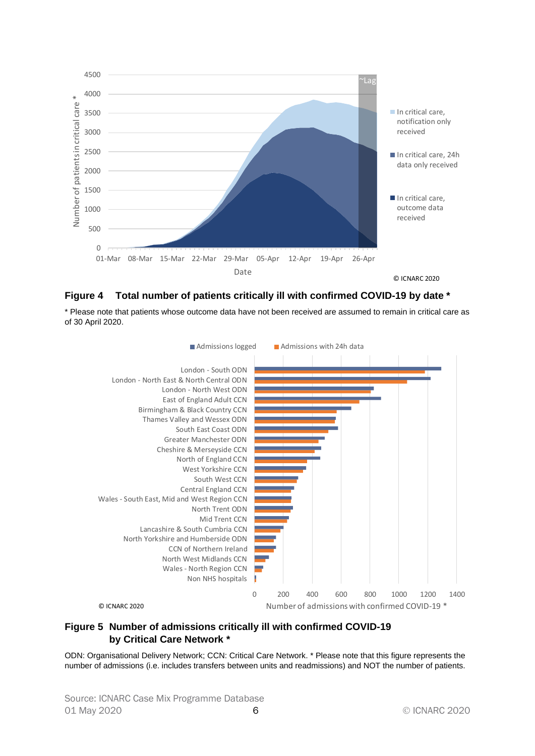

<span id="page-5-0"></span>

\* Please note that patients whose outcome data have not been received are assumed to remain in critical care as of 30 April 2020.



#### <span id="page-5-1"></span>**Figure 5 Number of admissions critically ill with confirmed COVID-19 by Critical Care Network \***

ODN: Organisational Delivery Network; CCN: Critical Care Network. \* Please note that this figure represents the number of admissions (i.e. includes transfers between units and readmissions) and NOT the number of patients.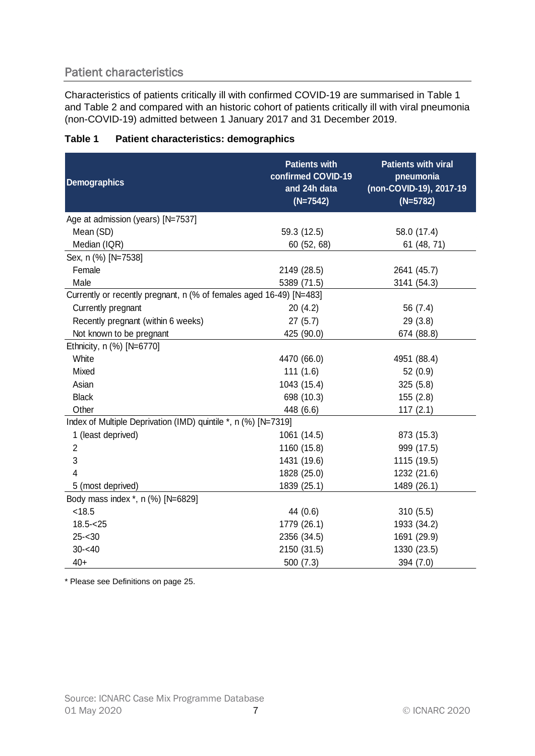# <span id="page-6-0"></span>Patient characteristics

Characteristics of patients critically ill with confirmed COVID-19 are summarised in [Table 1](#page-6-1) and [Table 2](#page-7-0) and compared with an historic cohort of patients critically ill with viral pneumonia (non-COVID-19) admitted between 1 January 2017 and 31 December 2019.

| <b>Demographics</b>                                                 | <b>Patients with</b><br>confirmed COVID-19<br>and 24h data<br>$(N=7542)$ | <b>Patients with viral</b><br>pneumonia<br>(non-COVID-19), 2017-19<br>$(N=5782)$ |
|---------------------------------------------------------------------|--------------------------------------------------------------------------|----------------------------------------------------------------------------------|
| Age at admission (years) [N=7537]                                   |                                                                          |                                                                                  |
| Mean (SD)                                                           | 59.3 (12.5)                                                              | 58.0 (17.4)                                                                      |
| Median (IQR)                                                        | 60 (52, 68)                                                              | 61 (48, 71)                                                                      |
| Sex, n (%) [N=7538]                                                 |                                                                          |                                                                                  |
| Female                                                              | 2149 (28.5)                                                              | 2641 (45.7)                                                                      |
| Male                                                                | 5389 (71.5)                                                              | 3141 (54.3)                                                                      |
| Currently or recently pregnant, n (% of females aged 16-49) [N=483] |                                                                          |                                                                                  |
| Currently pregnant                                                  | 20(4.2)                                                                  | 56 (7.4)                                                                         |
| Recently pregnant (within 6 weeks)                                  | 27(5.7)                                                                  | 29 (3.8)                                                                         |
| Not known to be pregnant                                            | 425 (90.0)                                                               | 674 (88.8)                                                                       |
| Ethnicity, n (%) [N=6770]                                           |                                                                          |                                                                                  |
| White                                                               | 4470 (66.0)                                                              | 4951 (88.4)                                                                      |
| Mixed                                                               | 111(1.6)                                                                 | 52 (0.9)                                                                         |
| Asian                                                               | 1043 (15.4)                                                              | 325(5.8)                                                                         |
| <b>Black</b>                                                        | 698 (10.3)                                                               | 155(2.8)                                                                         |
| Other                                                               | 448 (6.6)                                                                | 117(2.1)                                                                         |
| Index of Multiple Deprivation (IMD) quintile *, n (%) [N=7319]      |                                                                          |                                                                                  |
| 1 (least deprived)                                                  | 1061 (14.5)                                                              | 873 (15.3)                                                                       |
| $\overline{2}$                                                      | 1160 (15.8)                                                              | 999 (17.5)                                                                       |
| 3                                                                   | 1431 (19.6)                                                              | 1115 (19.5)                                                                      |
| $\overline{4}$                                                      | 1828 (25.0)                                                              | 1232 (21.6)                                                                      |
| 5 (most deprived)                                                   | 1839 (25.1)                                                              | 1489 (26.1)                                                                      |
| Body mass index *, n (%) [N=6829]                                   |                                                                          |                                                                                  |
| < 18.5                                                              | 44 (0.6)                                                                 | 310(5.5)                                                                         |
| $18.5 - 25$                                                         | 1779 (26.1)                                                              | 1933 (34.2)                                                                      |
| $25 - 30$                                                           | 2356 (34.5)                                                              | 1691 (29.9)                                                                      |
| $30 - 40$                                                           | 2150 (31.5)                                                              | 1330 (23.5)                                                                      |
| $40+$                                                               | 500 (7.3)                                                                | 394 (7.0)                                                                        |

### <span id="page-6-1"></span>**Table 1 Patient characteristics: demographics**

\* Please see Definitions on pag[e 25.](#page-24-0)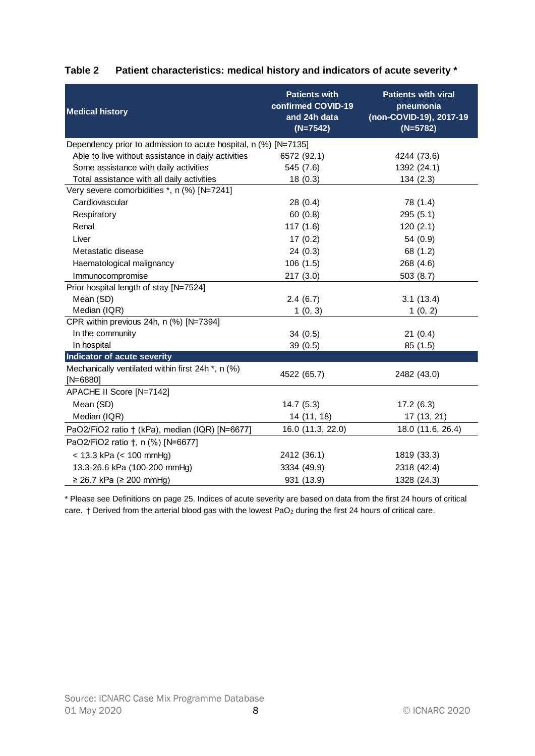| <b>Medical history</b>                                                      | <b>Patients with</b><br>confirmed COVID-19<br>and 24h data<br>$(N=7542)$ | <b>Patients with viral</b><br>pneumonia<br>(non-COVID-19), 2017-19<br>$(N=5782)$ |
|-----------------------------------------------------------------------------|--------------------------------------------------------------------------|----------------------------------------------------------------------------------|
| Dependency prior to admission to acute hospital, n (%) [N=7135]             |                                                                          |                                                                                  |
| Able to live without assistance in daily activities                         | 6572 (92.1)                                                              | 4244 (73.6)                                                                      |
| Some assistance with daily activities                                       | 545 (7.6)                                                                | 1392 (24.1)                                                                      |
| Total assistance with all daily activities                                  | 18(0.3)                                                                  | 134(2.3)                                                                         |
| Very severe comorbidities *, n (%) [N=7241]                                 |                                                                          |                                                                                  |
| Cardiovascular                                                              | 28(0.4)                                                                  | 78 (1.4)                                                                         |
| Respiratory                                                                 | 60(0.8)                                                                  | 295 (5.1)                                                                        |
| Renal                                                                       | 117(1.6)                                                                 | 120(2.1)                                                                         |
| Liver                                                                       | 17(0.2)                                                                  | 54 (0.9)                                                                         |
| Metastatic disease                                                          | 24(0.3)                                                                  | 68 (1.2)                                                                         |
| Haematological malignancy                                                   | 106(1.5)                                                                 | 268 (4.6)                                                                        |
| Immunocompromise                                                            | 217(3.0)                                                                 | 503(8.7)                                                                         |
| Prior hospital length of stay [N=7524]                                      |                                                                          |                                                                                  |
| Mean (SD)                                                                   | 2.4(6.7)                                                                 | 3.1(13.4)                                                                        |
| Median (IQR)                                                                | 1(0, 3)                                                                  | 1(0, 2)                                                                          |
| CPR within previous 24h, n (%) [N=7394]                                     |                                                                          |                                                                                  |
| In the community                                                            | 34(0.5)                                                                  | 21(0.4)                                                                          |
| In hospital                                                                 | 39(0.5)                                                                  | 85 (1.5)                                                                         |
| Indicator of acute severity                                                 |                                                                          |                                                                                  |
| Mechanically ventilated within first 24h <sup>*</sup> , n (%)<br>$[N=6880]$ | 4522 (65.7)                                                              | 2482 (43.0)                                                                      |
| APACHE II Score [N=7142]                                                    |                                                                          |                                                                                  |
| Mean (SD)                                                                   | 14.7(5.3)                                                                | 17.2(6.3)                                                                        |
| Median (IQR)                                                                | 14 (11, 18)                                                              | 17 (13, 21)                                                                      |
| PaO2/FiO2 ratio † (kPa), median (IQR) [N=6677]                              | 16.0 (11.3, 22.0)                                                        | 18.0 (11.6, 26.4)                                                                |
| PaO2/FiO2 ratio †, n (%) [N=6677]                                           |                                                                          |                                                                                  |
| $<$ 13.3 kPa ( $<$ 100 mmHg)                                                | 2412 (36.1)                                                              | 1819 (33.3)                                                                      |
| 13.3-26.6 kPa (100-200 mmHg)                                                | 3334 (49.9)                                                              | 2318 (42.4)                                                                      |
| $≥ 26.7$ kPa (≥ 200 mmHg)                                                   | 931 (13.9)                                                               | 1328 (24.3)                                                                      |

# <span id="page-7-0"></span>**Table 2 Patient characteristics: medical history and indicators of acute severity \***

\* Please see Definitions on pag[e 25.](#page-24-0) Indices of acute severity are based on data from the first 24 hours of critical care. † Derived from the arterial blood gas with the lowest PaO<sub>2</sub> during the first 24 hours of critical care.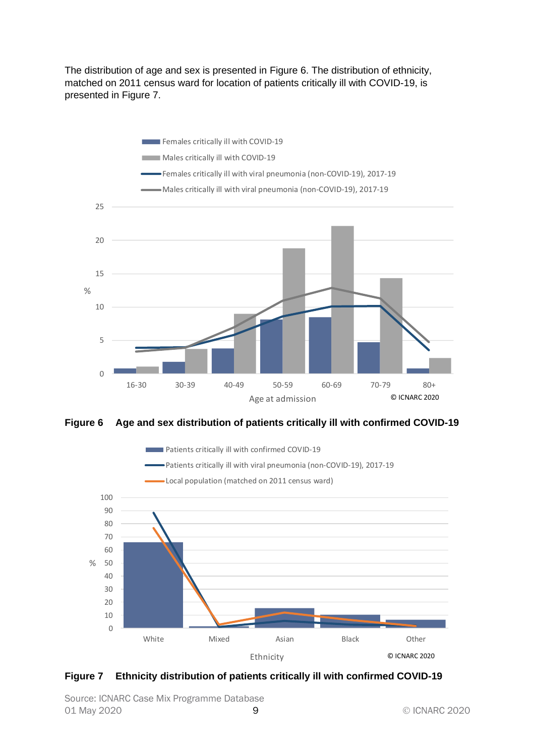The distribution of age and sex is presented in [Figure 6.](#page-8-0) The distribution of ethnicity, matched on 2011 census ward for location of patients critically ill with COVID-19, is presented in [Figure 7.](#page-8-1)



<span id="page-8-0"></span>**Figure 6 Age and sex distribution of patients critically ill with confirmed COVID-19**



<span id="page-8-1"></span>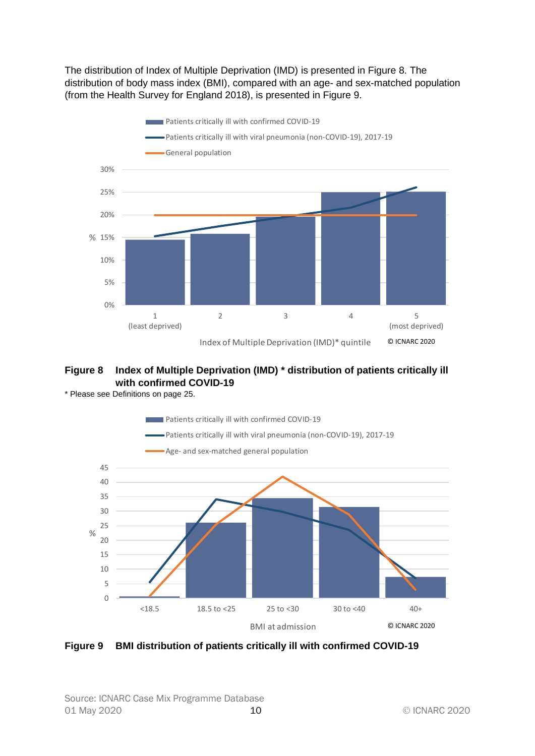The distribution of Index of Multiple Deprivation (IMD) is presented in [Figure 8.](#page-9-0) The distribution of body mass index (BMI), compared with an age- and sex-matched population (from the Health Survey for England 2018), is presented in [Figure 9.](#page-9-1)



# <span id="page-9-0"></span>**Figure 8 Index of Multiple Deprivation (IMD) \* distribution of patients critically ill with confirmed COVID-19**

\* Please see Definitions on pag[e 25.](#page-24-0)



<span id="page-9-1"></span>**Figure 9 BMI distribution of patients critically ill with confirmed COVID-19**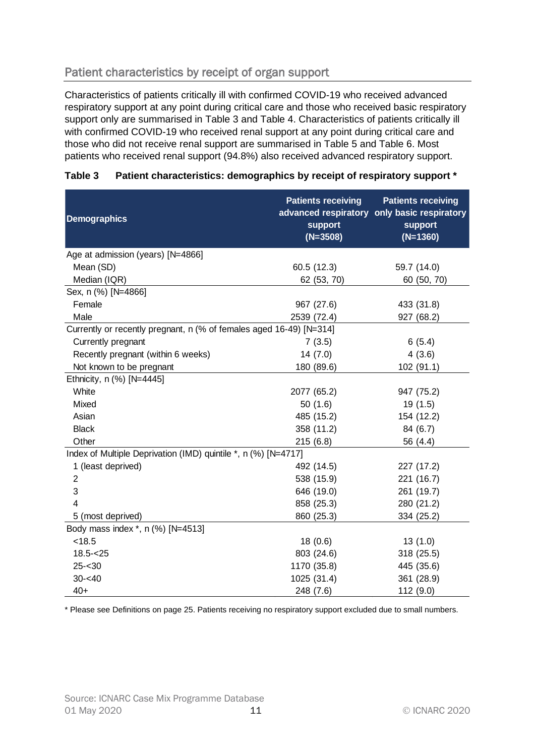# <span id="page-10-0"></span>Patient characteristics by receipt of organ support

Characteristics of patients critically ill with confirmed COVID-19 who received advanced respiratory support at any point during critical care and those who received basic respiratory support only are summarised in [Table 3](#page-10-1) and Table 4. Characteristics of patients critically ill with confirmed COVID-19 who received renal support at any point during critical care and those who did not receive renal support are summarised in [Table 5](#page-12-0) and [Table 6.](#page-13-0) Most patients who received renal support (94.8%) also received advanced respiratory support.

| <b>Demographics</b>                                                 | <b>Patients receiving</b><br><b>support</b><br>$(N=3508)$ | <b>Patients receiving</b><br>advanced respiratory only basic respiratory<br><b>support</b><br>$(N=1360)$ |
|---------------------------------------------------------------------|-----------------------------------------------------------|----------------------------------------------------------------------------------------------------------|
| Age at admission (years) [N=4866]                                   |                                                           |                                                                                                          |
| Mean (SD)                                                           | 60.5 (12.3)                                               | 59.7 (14.0)                                                                                              |
| Median (IQR)                                                        | 62 (53, 70)                                               | 60 (50, 70)                                                                                              |
| Sex, n (%) [N=4866]                                                 |                                                           |                                                                                                          |
| Female                                                              | 967 (27.6)                                                | 433 (31.8)                                                                                               |
| Male                                                                | 2539 (72.4)                                               | 927 (68.2)                                                                                               |
| Currently or recently pregnant, n (% of females aged 16-49) [N=314] |                                                           |                                                                                                          |
| Currently pregnant                                                  | 7(3.5)                                                    | 6(5.4)                                                                                                   |
| Recently pregnant (within 6 weeks)                                  | 14(7.0)                                                   | 4(3.6)                                                                                                   |
| Not known to be pregnant                                            | 180 (89.6)                                                | 102(91.1)                                                                                                |
| Ethnicity, n (%) [N=4445]                                           |                                                           |                                                                                                          |
| White                                                               | 2077 (65.2)                                               | 947 (75.2)                                                                                               |
| Mixed                                                               | 50(1.6)                                                   | 19 (1.5)                                                                                                 |
| Asian                                                               | 485 (15.2)                                                | 154 (12.2)                                                                                               |
| <b>Black</b>                                                        | 358 (11.2)                                                | 84 (6.7)                                                                                                 |
| Other                                                               | 215(6.8)                                                  | 56 (4.4)                                                                                                 |
| Index of Multiple Deprivation (IMD) quintile *, n (%) [N=4717]      |                                                           |                                                                                                          |
| 1 (least deprived)                                                  | 492 (14.5)                                                | 227 (17.2)                                                                                               |
| $\overline{2}$                                                      | 538 (15.9)                                                | 221 (16.7)                                                                                               |
| 3                                                                   | 646 (19.0)                                                | 261 (19.7)                                                                                               |
| 4                                                                   | 858 (25.3)                                                | 280 (21.2)                                                                                               |
| 5 (most deprived)                                                   | 860 (25.3)                                                | 334 (25.2)                                                                                               |
| Body mass index *, n (%) [N=4513]                                   |                                                           |                                                                                                          |
| < 18.5                                                              | 18(0.6)                                                   | 13(1.0)                                                                                                  |
| $18.5 - 25$                                                         | 803 (24.6)                                                | 318 (25.5)                                                                                               |
| $25 - 30$                                                           | 1170 (35.8)                                               | 445 (35.6)                                                                                               |
| $30 - 40$                                                           | 1025 (31.4)                                               | 361 (28.9)                                                                                               |
| $40+$                                                               | 248 (7.6)                                                 | 112(9.0)                                                                                                 |

### <span id="page-10-1"></span>**Table 3 Patient characteristics: demographics by receipt of respiratory support \***

\* Please see Definitions on page [25.](#page-24-0) Patients receiving no respiratory support excluded due to small numbers.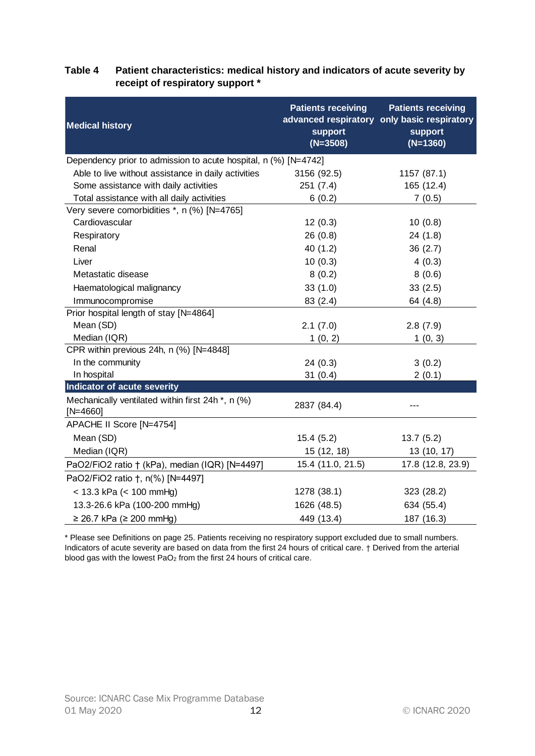| <b>Medical history</b>                                                      | <b>Patients receiving</b><br>support<br>$(N=3508)$ | <b>Patients receiving</b><br>advanced respiratory only basic respiratory<br>support<br>$(N=1360)$ |
|-----------------------------------------------------------------------------|----------------------------------------------------|---------------------------------------------------------------------------------------------------|
| Dependency prior to admission to acute hospital, n (%) [N=4742]             |                                                    |                                                                                                   |
| Able to live without assistance in daily activities                         | 3156 (92.5)                                        | 1157 (87.1)                                                                                       |
| Some assistance with daily activities                                       | 251(7.4)                                           | 165 (12.4)                                                                                        |
| Total assistance with all daily activities                                  | 6(0.2)                                             | 7(0.5)                                                                                            |
| Very severe comorbidities *, n (%) [N=4765]                                 |                                                    |                                                                                                   |
| Cardiovascular                                                              | 12(0.3)                                            | 10(0.8)                                                                                           |
| Respiratory                                                                 | 26(0.8)                                            | 24(1.8)                                                                                           |
| Renal                                                                       | 40(1.2)                                            | 36(2.7)                                                                                           |
| Liver                                                                       | 10(0.3)                                            | 4(0.3)                                                                                            |
| Metastatic disease                                                          | 8(0.2)                                             | 8(0.6)                                                                                            |
| Haematological malignancy                                                   | 33(1.0)                                            | 33(2.5)                                                                                           |
| Immunocompromise                                                            | 83(2.4)                                            | 64 (4.8)                                                                                          |
| Prior hospital length of stay [N=4864]                                      |                                                    |                                                                                                   |
| Mean (SD)                                                                   | 2.1(7.0)                                           | 2.8(7.9)                                                                                          |
| Median (IQR)                                                                | 1(0, 2)                                            | 1(0, 3)                                                                                           |
| CPR within previous 24h, n (%) [N=4848]                                     |                                                    |                                                                                                   |
| In the community                                                            | 24(0.3)                                            | 3(0.2)                                                                                            |
| In hospital                                                                 | 31(0.4)                                            | 2(0.1)                                                                                            |
| <b>Indicator of acute severity</b>                                          |                                                    |                                                                                                   |
| Mechanically ventilated within first 24h <sup>*</sup> , n (%)<br>$[N=4660]$ | 2837 (84.4)                                        |                                                                                                   |
| APACHE II Score [N=4754]                                                    |                                                    |                                                                                                   |
| Mean (SD)                                                                   | 15.4(5.2)                                          | 13.7(5.2)                                                                                         |
| Median (IQR)                                                                | 15 (12, 18)                                        | 13 (10, 17)                                                                                       |
| PaO2/FiO2 ratio † (kPa), median (IQR) [N=4497]                              | 15.4 (11.0, 21.5)                                  | 17.8 (12.8, 23.9)                                                                                 |
| PaO2/FiO2 ratio +, n(%) [N=4497]                                            |                                                    |                                                                                                   |
| $<$ 13.3 kPa ( $<$ 100 mmHg)                                                | 1278 (38.1)                                        | 323 (28.2)                                                                                        |
| 13.3-26.6 kPa (100-200 mmHg)                                                | 1626 (48.5)                                        | 634 (55.4)                                                                                        |
| $≥ 26.7$ kPa ( $≥ 200$ mmHg)                                                | 449 (13.4)                                         | 187 (16.3)                                                                                        |

### <span id="page-11-0"></span>**Table 4 Patient characteristics: medical history and indicators of acute severity by receipt of respiratory support \***

\* Please see Definitions on pag[e 25.](#page-24-0) Patients receiving no respiratory support excluded due to small numbers. Indicators of acute severity are based on data from the first 24 hours of critical care. † Derived from the arterial blood gas with the lowest PaO<sub>2</sub> from the first 24 hours of critical care.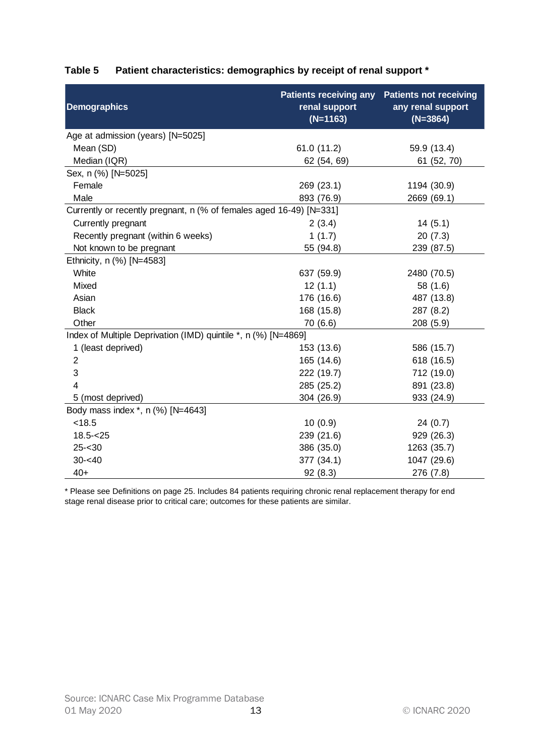| <b>Demographics</b>                                                 | <b>Patients receiving any</b><br>renal support<br>$(N=1163)$ | <b>Patients not receiving</b><br>any renal support<br>$(N=3864)$ |
|---------------------------------------------------------------------|--------------------------------------------------------------|------------------------------------------------------------------|
| Age at admission (years) [N=5025]                                   |                                                              |                                                                  |
| Mean (SD)                                                           | 61.0(11.2)                                                   | 59.9 (13.4)                                                      |
| Median (IQR)                                                        | 62 (54, 69)                                                  | 61 (52, 70)                                                      |
| Sex, n (%) [N=5025]                                                 |                                                              |                                                                  |
| Female                                                              | 269 (23.1)                                                   | 1194 (30.9)                                                      |
| Male                                                                | 893 (76.9)                                                   | 2669 (69.1)                                                      |
| Currently or recently pregnant, n (% of females aged 16-49) [N=331] |                                                              |                                                                  |
| Currently pregnant                                                  | 2(3.4)                                                       | 14(5.1)                                                          |
| Recently pregnant (within 6 weeks)                                  | 1(1.7)                                                       | 20(7.3)                                                          |
| Not known to be pregnant                                            | 55 (94.8)                                                    | 239 (87.5)                                                       |
| Ethnicity, n (%) [N=4583]                                           |                                                              |                                                                  |
| White                                                               | 637 (59.9)                                                   | 2480 (70.5)                                                      |
| Mixed                                                               | 12(1.1)                                                      | 58 (1.6)                                                         |
| Asian                                                               | 176 (16.6)                                                   | 487 (13.8)                                                       |
| <b>Black</b>                                                        | 168 (15.8)                                                   | 287 (8.2)                                                        |
| Other                                                               | 70 (6.6)                                                     | 208(5.9)                                                         |
| Index of Multiple Deprivation (IMD) quintile *, n (%) [N=4869]      |                                                              |                                                                  |
| 1 (least deprived)                                                  | 153 (13.6)                                                   | 586 (15.7)                                                       |
| $\overline{c}$                                                      | 165 (14.6)                                                   | 618 (16.5)                                                       |
| 3                                                                   | 222 (19.7)                                                   | 712 (19.0)                                                       |
| 4                                                                   | 285 (25.2)                                                   | 891 (23.8)                                                       |
| 5 (most deprived)                                                   | 304 (26.9)                                                   | 933 (24.9)                                                       |
| Body mass index *, n (%) [N=4643]                                   |                                                              |                                                                  |
| < 18.5                                                              | 10(0.9)                                                      | 24(0.7)                                                          |
| $18.5 - < 25$                                                       | 239 (21.6)                                                   | 929 (26.3)                                                       |
| $25 - 30$                                                           | 386 (35.0)                                                   | 1263 (35.7)                                                      |
| $30 - 40$                                                           | 377 (34.1)                                                   | 1047 (29.6)                                                      |
| $40+$                                                               | 92(8.3)                                                      | 276 (7.8)                                                        |

# <span id="page-12-0"></span>**Table 5 Patient characteristics: demographics by receipt of renal support \***

\* Please see Definitions on page [25.](#page-24-0) Includes 84 patients requiring chronic renal replacement therapy for end stage renal disease prior to critical care; outcomes for these patients are similar.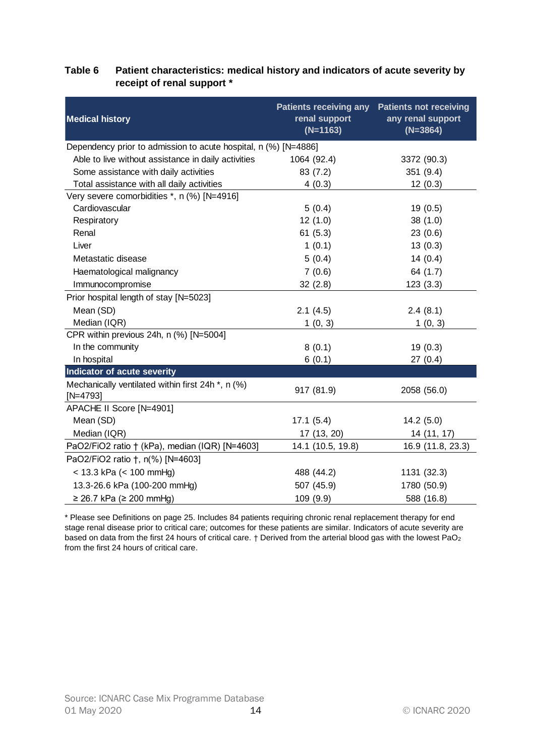| <b>Medical history</b>                                          | <b>Patients receiving any</b><br>renal support<br>$(N=1163)$ | <b>Patients not receiving</b><br>any renal support<br>$(N=3864)$ |
|-----------------------------------------------------------------|--------------------------------------------------------------|------------------------------------------------------------------|
| Dependency prior to admission to acute hospital, n (%) [N=4886] |                                                              |                                                                  |
| Able to live without assistance in daily activities             | 1064 (92.4)                                                  | 3372 (90.3)                                                      |
| Some assistance with daily activities                           | 83(7.2)                                                      | 351 (9.4)                                                        |
| Total assistance with all daily activities                      | 4(0.3)                                                       | 12(0.3)                                                          |
| Very severe comorbidities *, n (%) [N=4916]                     |                                                              |                                                                  |
| Cardiovascular                                                  | 5(0.4)                                                       | 19(0.5)                                                          |
| Respiratory                                                     | 12(1.0)                                                      | 38(1.0)                                                          |
| Renal                                                           | 61(5.3)                                                      | 23(0.6)                                                          |
| Liver                                                           | 1(0.1)                                                       | 13(0.3)                                                          |
| Metastatic disease                                              | 5(0.4)                                                       | 14(0.4)                                                          |
| Haematological malignancy                                       | 7(0.6)                                                       | 64 (1.7)                                                         |
| Immunocompromise                                                | 32(2.8)                                                      | 123(3.3)                                                         |
| Prior hospital length of stay [N=5023]                          |                                                              |                                                                  |
| Mean (SD)                                                       | 2.1(4.5)                                                     | 2.4(8.1)                                                         |
| Median (IQR)                                                    | 1(0, 3)                                                      | 1(0, 3)                                                          |
| CPR within previous 24h, n (%) [N=5004]                         |                                                              |                                                                  |
| In the community                                                | 8(0.1)                                                       | 19(0.3)                                                          |
| In hospital                                                     | 6(0.1)                                                       | 27(0.4)                                                          |
| Indicator of acute severity                                     |                                                              |                                                                  |
| Mechanically ventilated within first 24h *, n (%)<br>$[N=4793]$ | 917 (81.9)                                                   | 2058 (56.0)                                                      |
| APACHE II Score [N=4901]                                        |                                                              |                                                                  |
| Mean (SD)                                                       | 17.1(5.4)                                                    | 14.2(5.0)                                                        |
| Median (IQR)                                                    | 17 (13, 20)                                                  | 14 (11, 17)                                                      |
| PaO2/FiO2 ratio † (kPa), median (IQR) [N=4603]                  | 14.1 (10.5, 19.8)                                            | 16.9 (11.8, 23.3)                                                |
| PaO2/FiO2 ratio +, n(%) [N=4603]                                |                                                              |                                                                  |
| $<$ 13.3 kPa ( $<$ 100 mmHg)                                    | 488 (44.2)                                                   | 1131 (32.3)                                                      |
| 13.3-26.6 kPa (100-200 mmHg)                                    | 507 (45.9)                                                   | 1780 (50.9)                                                      |
| ≥ 26.7 kPa (≥ 200 mmHg)                                         | 109 (9.9)                                                    | 588 (16.8)                                                       |

### <span id="page-13-0"></span>**Table 6 Patient characteristics: medical history and indicators of acute severity by receipt of renal support \***

\* Please see Definitions on page [25.](#page-24-0) Includes 84 patients requiring chronic renal replacement therapy for end stage renal disease prior to critical care; outcomes for these patients are similar. Indicators of acute severity are based on data from the first 24 hours of critical care. † Derived from the arterial blood gas with the lowest PaO<sup>2</sup> from the first 24 hours of critical care.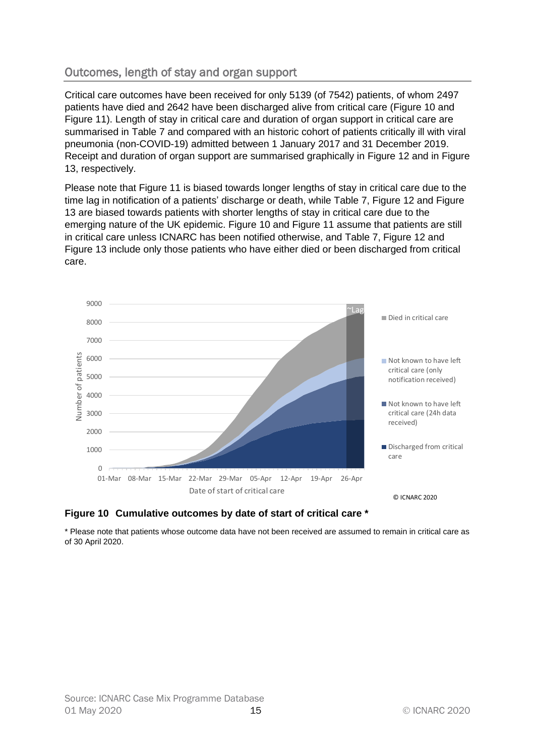# <span id="page-14-0"></span>Outcomes, length of stay and organ support

Critical care outcomes have been received for only 5139 (of 7542) patients, of whom 2497 patients have died and 2642 have been discharged alive from critical care [\(Figure 10](#page-14-1) and [Figure 11\)](#page-15-0). Length of stay in critical care and duration of organ support in critical care are summarised in [Table 7](#page-16-0) and compared with an historic cohort of patients critically ill with viral pneumonia (non-COVID-19) admitted between 1 January 2017 and 31 December 2019. Receipt and duration of organ support are summarised graphically in [Figure 12](#page-17-0) and in [Figure](#page-17-1)  [13,](#page-17-1) respectively.

Please note that [Figure 11](#page-15-0) is biased towards longer lengths of stay in critical care due to the time lag in notification of a patients' discharge or death, while [Table 7,](#page-16-0) [Figure 12](#page-17-0) and [Figure](#page-17-1)  [13](#page-17-1) are biased towards patients with shorter lengths of stay in critical care due to the emerging nature of the UK epidemic. [Figure 10](#page-14-1) and [Figure 11](#page-15-0) assume that patients are still in critical care unless ICNARC has been notified otherwise, and [Table 7,](#page-16-0) [Figure 12](#page-17-0) and [Figure 13](#page-17-1) include only those patients who have either died or been discharged from critical care.



### <span id="page-14-1"></span>**Figure 10 Cumulative outcomes by date of start of critical care \***

\* Please note that patients whose outcome data have not been received are assumed to remain in critical care as of 30 April 2020.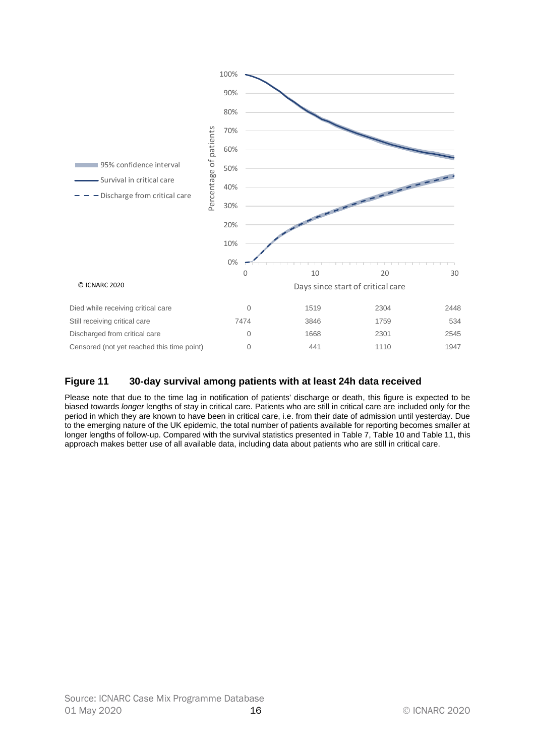

### <span id="page-15-0"></span>**Figure 11 30-day survival among patients with at least 24h data received**

Please note that due to the time lag in notification of patients' discharge or death, this figure is expected to be biased towards *longer* lengths of stay in critical care. Patients who are still in critical care are included only for the period in which they are known to have been in critical care, i.e. from their date of admission until yesterday. Due to the emerging nature of the UK epidemic, the total number of patients available for reporting becomes smaller at longer lengths of follow-up. Compared with the survival statistics presented i[n Table 7,](#page-16-0) [Table 10](#page-21-0) an[d Table 11,](#page-22-1) this approach makes better use of all available data, including data about patients who are still in critical care.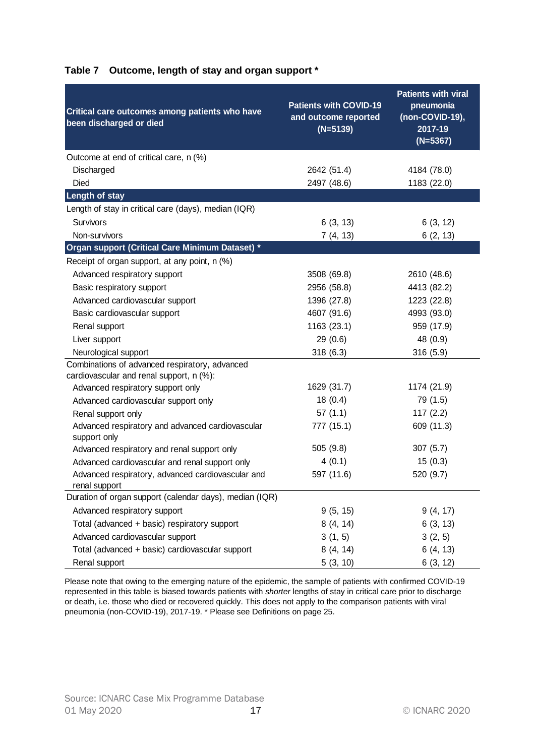| Critical care outcomes among patients who have<br>been discharged or died                  | <b>Patients with COVID-19</b><br>and outcome reported<br>$(N=5139)$ | <b>Patients with viral</b><br>pneumonia<br>(non-COVID-19),<br>2017-19<br>$(N=5367)$ |
|--------------------------------------------------------------------------------------------|---------------------------------------------------------------------|-------------------------------------------------------------------------------------|
| Outcome at end of critical care, n (%)                                                     |                                                                     |                                                                                     |
| Discharged                                                                                 | 2642 (51.4)                                                         | 4184 (78.0)                                                                         |
| <b>Died</b>                                                                                | 2497 (48.6)                                                         | 1183 (22.0)                                                                         |
| <b>Length of stay</b>                                                                      |                                                                     |                                                                                     |
| Length of stay in critical care (days), median (IQR)                                       |                                                                     |                                                                                     |
| Survivors                                                                                  | 6(3, 13)                                                            | 6(3, 12)                                                                            |
| Non-survivors                                                                              | 7(4, 13)                                                            | 6(2, 13)                                                                            |
| Organ support (Critical Care Minimum Dataset) *                                            |                                                                     |                                                                                     |
| Receipt of organ support, at any point, n (%)                                              |                                                                     |                                                                                     |
| Advanced respiratory support                                                               | 3508 (69.8)                                                         | 2610 (48.6)                                                                         |
| Basic respiratory support                                                                  | 2956 (58.8)                                                         | 4413 (82.2)                                                                         |
| Advanced cardiovascular support                                                            | 1396 (27.8)                                                         | 1223 (22.8)                                                                         |
| Basic cardiovascular support                                                               | 4607 (91.6)                                                         | 4993 (93.0)                                                                         |
| Renal support                                                                              | 1163 (23.1)                                                         | 959 (17.9)                                                                          |
| Liver support                                                                              | 29(0.6)                                                             | 48 (0.9)                                                                            |
| Neurological support                                                                       | 318(6.3)                                                            | 316(5.9)                                                                            |
| Combinations of advanced respiratory, advanced<br>cardiovascular and renal support, n (%): |                                                                     |                                                                                     |
| Advanced respiratory support only                                                          | 1629 (31.7)                                                         | 1174 (21.9)                                                                         |
| Advanced cardiovascular support only                                                       | 18(0.4)                                                             | 79 (1.5)                                                                            |
| Renal support only                                                                         | 57(1.1)                                                             | 117(2.2)                                                                            |
| Advanced respiratory and advanced cardiovascular<br>support only                           | 777 (15.1)                                                          | 609 (11.3)                                                                          |
| Advanced respiratory and renal support only                                                | 505(9.8)                                                            | 307(5.7)                                                                            |
| Advanced cardiovascular and renal support only                                             | 4(0.1)                                                              | 15(0.3)                                                                             |
| Advanced respiratory, advanced cardiovascular and<br>renal support                         | 597 (11.6)                                                          | 520 (9.7)                                                                           |
| Duration of organ support (calendar days), median (IQR)                                    |                                                                     |                                                                                     |
| Advanced respiratory support                                                               | 9(5, 15)                                                            | 9(4, 17)                                                                            |
| Total (advanced + basic) respiratory support                                               | 8(4, 14)                                                            | 6(3, 13)                                                                            |
| Advanced cardiovascular support                                                            | 3(1, 5)                                                             | 3(2, 5)                                                                             |
| Total (advanced + basic) cardiovascular support                                            | 8(4, 14)                                                            | 6(4, 13)                                                                            |
| Renal support                                                                              | 5(3, 10)                                                            | 6(3, 12)                                                                            |

#### <span id="page-16-0"></span>**Table 7 Outcome, length of stay and organ support \***

Please note that owing to the emerging nature of the epidemic, the sample of patients with confirmed COVID-19 represented in this table is biased towards patients with *shorter* lengths of stay in critical care prior to discharge or death, i.e. those who died or recovered quickly. This does not apply to the comparison patients with viral pneumonia (non-COVID-19), 2017-19. \* Please see Definitions on page [25.](#page-24-0)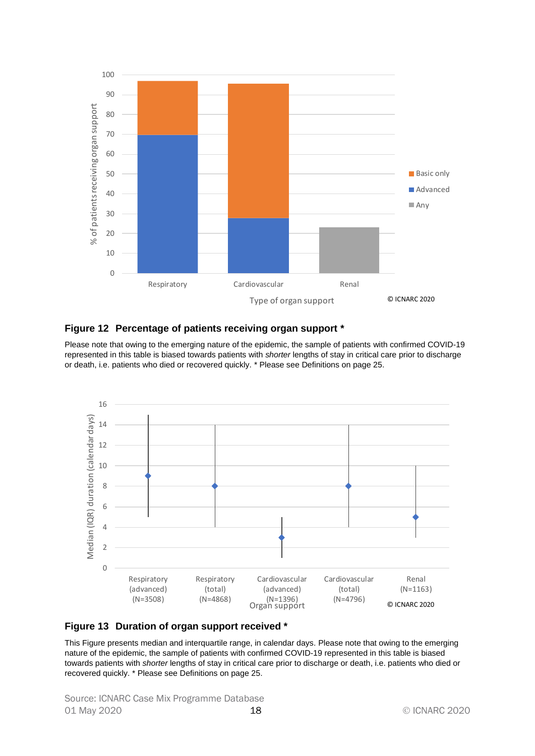

#### <span id="page-17-0"></span>**Figure 12 Percentage of patients receiving organ support \***

Please note that owing to the emerging nature of the epidemic, the sample of patients with confirmed COVID-19 represented in this table is biased towards patients with *shorter* lengths of stay in critical care prior to discharge or death, i.e. patients who died or recovered quickly. \* Please see Definitions on page [25.](#page-24-0)



#### <span id="page-17-1"></span>**Figure 13 Duration of organ support received \***

This Figure presents median and interquartile range, in calendar days. Please note that owing to the emerging nature of the epidemic, the sample of patients with confirmed COVID-19 represented in this table is biased towards patients with *shorter* lengths of stay in critical care prior to discharge or death, i.e. patients who died or recovered quickly. \* Please see Definitions on page [25.](#page-24-0)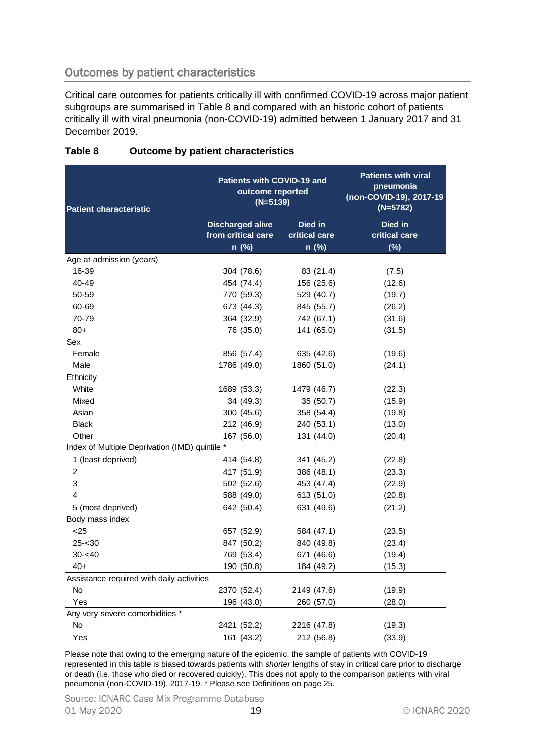# <span id="page-18-0"></span>Outcomes by patient characteristics

Critical care outcomes for patients critically ill with confirmed COVID-19 across major patient subgroups are summarised in [Table 8](#page-18-1) and compared with an historic cohort of patients critically ill with viral pneumonia (non-COVID-19) admitted between 1 January 2017 and 31 December 2019.

| <b>Patient characteristic</b>                  | Patients with COVID-19 and<br>outcome reported<br>$(N=5139)$ |                        | <b>Patients with viral</b><br>pneumonia<br>(non-COVID-19), 2017-19<br>$(N=5782)$ |  |
|------------------------------------------------|--------------------------------------------------------------|------------------------|----------------------------------------------------------------------------------|--|
|                                                | <b>Discharged alive</b>                                      | <b>Died in</b>         | Died in                                                                          |  |
|                                                | from critical care<br>n (%)                                  | critical care<br>n (%) | critical care<br>(%)                                                             |  |
| Age at admission (years)                       |                                                              |                        |                                                                                  |  |
| 16-39                                          | 304 (78.6)                                                   | 83 (21.4)              | (7.5)                                                                            |  |
| 40-49                                          | 454 (74.4)                                                   | 156 (25.6)             | (12.6)                                                                           |  |
| 50-59                                          | 770 (59.3)                                                   | 529 (40.7)             | (19.7)                                                                           |  |
| 60-69                                          | 673 (44.3)                                                   | 845 (55.7)             | (26.2)                                                                           |  |
| 70-79                                          | 364 (32.9)                                                   | 742 (67.1)             | (31.6)                                                                           |  |
| $80+$                                          | 76 (35.0)                                                    | 141 (65.0)             | (31.5)                                                                           |  |
| Sex                                            |                                                              |                        |                                                                                  |  |
| Female                                         | 856 (57.4)                                                   | 635 (42.6)             | (19.6)                                                                           |  |
| Male                                           | 1786 (49.0)                                                  | 1860 (51.0)            | (24.1)                                                                           |  |
| Ethnicity                                      |                                                              |                        |                                                                                  |  |
| White                                          | 1689 (53.3)                                                  | 1479 (46.7)            | (22.3)                                                                           |  |
| Mixed                                          | 34 (49.3)                                                    | 35(50.7)               | (15.9)                                                                           |  |
| Asian                                          | 300 (45.6)                                                   | 358 (54.4)             | (19.8)                                                                           |  |
| <b>Black</b>                                   | 212 (46.9)                                                   | 240 (53.1)             | (13.0)                                                                           |  |
| Other                                          | 167 (56.0)                                                   | 131 (44.0)             | (20.4)                                                                           |  |
| Index of Multiple Deprivation (IMD) quintile * |                                                              |                        |                                                                                  |  |
| 1 (least deprived)                             | 414 (54.8)                                                   | 341 (45.2)             | (22.8)                                                                           |  |
| $\boldsymbol{2}$                               | 417 (51.9)                                                   | 386 (48.1)             | (23.3)                                                                           |  |
| 3                                              | 502 (52.6)                                                   | 453 (47.4)             | (22.9)                                                                           |  |
| 4                                              | 588 (49.0)                                                   | 613 (51.0)             | (20.8)                                                                           |  |
| 5 (most deprived)                              | 642 (50.4)                                                   | 631 (49.6)             | (21.2)                                                                           |  |
| Body mass index                                |                                                              |                        |                                                                                  |  |
| < 25                                           | 657 (52.9)                                                   | 584 (47.1)             | (23.5)                                                                           |  |
| $25 - 30$                                      | 847 (50.2)                                                   | 840 (49.8)             | (23.4)                                                                           |  |
| $30 - 40$                                      | 769 (53.4)                                                   | 671 (46.6)             | (19.4)                                                                           |  |
| $40+$                                          | 190 (50.8)                                                   | 184 (49.2)             | (15.3)                                                                           |  |
| Assistance required with daily activities      |                                                              |                        |                                                                                  |  |
| No                                             | 2370 (52.4)                                                  | 2149 (47.6)            | (19.9)                                                                           |  |
| Yes                                            | 196 (43.0)                                                   | 260 (57.0)             | (28.0)                                                                           |  |
| Any very severe comorbidities *                |                                                              |                        |                                                                                  |  |
| No                                             | 2421 (52.2)                                                  | 2216 (47.8)            | (19.3)                                                                           |  |
| Yes                                            | 161 (43.2)                                                   | 212 (56.8)             | (33.9)                                                                           |  |

# <span id="page-18-1"></span>**Table 8 Outcome by patient characteristics**

Please note that owing to the emerging nature of the epidemic, the sample of patients with COVID-19 represented in this table is biased towards patients with *shorter* lengths of stay in critical care prior to discharge or death (i.e. those who died or recovered quickly). This does not apply to the comparison patients with viral pneumonia (non-COVID-19), 2017-19. \* Please see Definitions on page [25.](#page-24-0)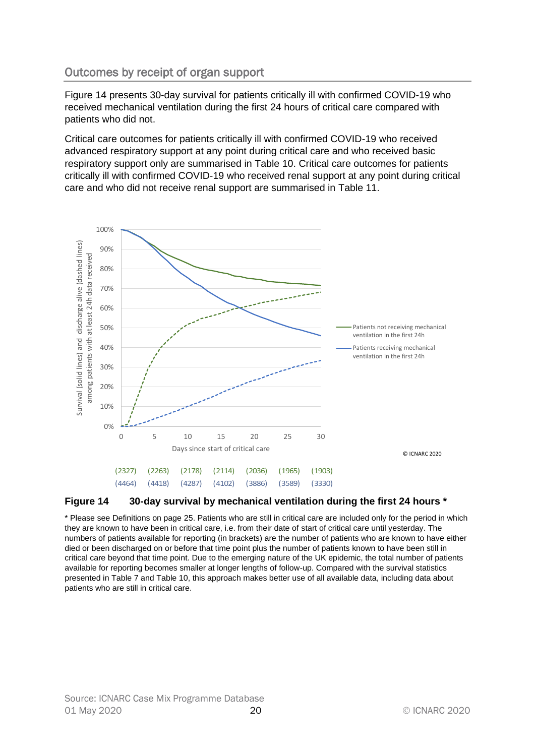# <span id="page-19-0"></span>Outcomes by receipt of organ support

[Figure 14](#page-19-1) presents 30-day survival for patients critically ill with confirmed COVID-19 who received mechanical ventilation during the first 24 hours of critical care compared with patients who did not.

Critical care outcomes for patients critically ill with confirmed COVID-19 who received advanced respiratory support at any point during critical care and who received basic respiratory support only are summarised in [Table 10.](#page-21-0) Critical care outcomes for patients critically ill with confirmed COVID-19 who received renal support at any point during critical care and who did not receive renal support are summarised in [Table 11.](#page-22-1)



<span id="page-19-1"></span>![](_page_19_Figure_4.jpeg)

\* Please see Definitions on pag[e 25.](#page-24-0) Patients who are still in critical care are included only for the period in which they are known to have been in critical care, i.e. from their date of start of critical care until yesterday. The numbers of patients available for reporting (in brackets) are the number of patients who are known to have either died or been discharged on or before that time point plus the number of patients known to have been still in critical care beyond that time point. Due to the emerging nature of the UK epidemic, the total number of patients available for reporting becomes smaller at longer lengths of follow-up. Compared with the survival statistics presented in [Table 7](#page-16-0) and [Table 10,](#page-21-0) this approach makes better use of all available data, including data about patients who are still in critical care.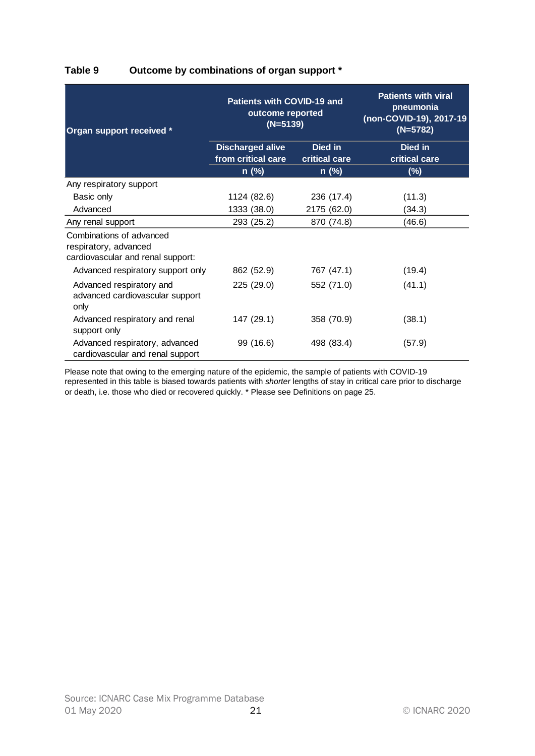| Organ support received *                                                               | <b>Patients with COVID-19 and</b><br>outcome reported<br>$(N=5139)$ |                          | <b>Patients with viral</b><br>pneumonia<br>(non-COVID-19), 2017-19<br>$(N=5782)$ |
|----------------------------------------------------------------------------------------|---------------------------------------------------------------------|--------------------------|----------------------------------------------------------------------------------|
|                                                                                        | <b>Discharged alive</b><br>from critical care                       | Died in<br>critical care | Died in<br>critical care                                                         |
|                                                                                        | n (%)                                                               | $n$ (%)                  | $(\sqrt[6]{6})$                                                                  |
| Any respiratory support                                                                |                                                                     |                          |                                                                                  |
| Basic only                                                                             | 1124 (82.6)                                                         | 236 (17.4)               | (11.3)                                                                           |
| Advanced                                                                               | 1333 (38.0)                                                         | 2175 (62.0)              | (34.3)                                                                           |
| Any renal support                                                                      | 293 (25.2)                                                          | 870 (74.8)               | (46.6)                                                                           |
| Combinations of advanced<br>respiratory, advanced<br>cardiovascular and renal support: |                                                                     |                          |                                                                                  |
| Advanced respiratory support only                                                      | 862 (52.9)                                                          | 767 (47.1)               | (19.4)                                                                           |
| Advanced respiratory and<br>advanced cardiovascular support<br>only                    | 225 (29.0)                                                          | 552 (71.0)               | (41.1)                                                                           |
| Advanced respiratory and renal<br>support only                                         | 147 (29.1)                                                          | 358 (70.9)               | (38.1)                                                                           |
| Advanced respiratory, advanced<br>cardiovascular and renal support                     | 99 (16.6)                                                           | 498 (83.4)               | (57.9)                                                                           |

# <span id="page-20-0"></span>**Table 9 Outcome by combinations of organ support \***

Please note that owing to the emerging nature of the epidemic, the sample of patients with COVID-19 represented in this table is biased towards patients with *shorter* lengths of stay in critical care prior to discharge or death, i.e. those who died or recovered quickly. \* Please see Definitions on pag[e 25.](#page-24-0)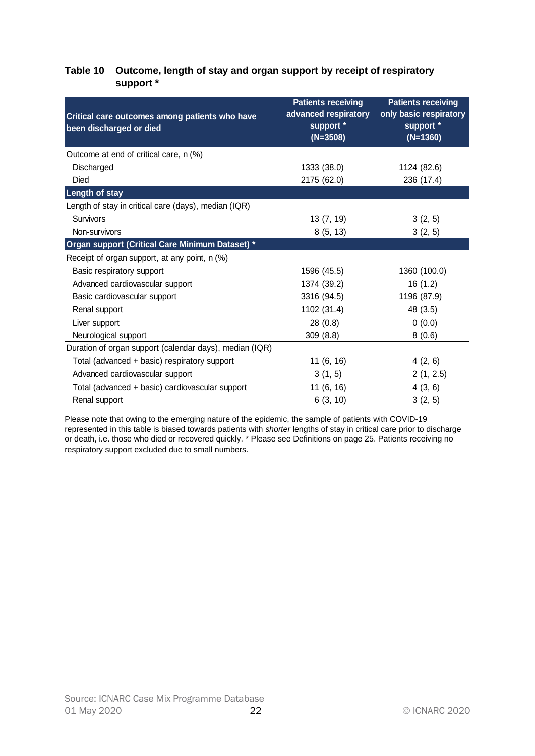#### <span id="page-21-0"></span>**Table 10 Outcome, length of stay and organ support by receipt of respiratory support \***

| Critical care outcomes among patients who have<br>been discharged or died | <b>Patients receiving</b><br>advanced respiratory<br>support *<br>$(N=3508)$ | <b>Patients receiving</b><br>only basic respiratory<br>support *<br>$(N=1360)$ |
|---------------------------------------------------------------------------|------------------------------------------------------------------------------|--------------------------------------------------------------------------------|
| Outcome at end of critical care, n (%)                                    |                                                                              |                                                                                |
| Discharged                                                                | 1333 (38.0)                                                                  | 1124 (82.6)                                                                    |
| <b>Died</b>                                                               | 2175 (62.0)                                                                  | 236 (17.4)                                                                     |
| <b>Length of stay</b>                                                     |                                                                              |                                                                                |
| Length of stay in critical care (days), median (IQR)                      |                                                                              |                                                                                |
| <b>Survivors</b>                                                          | 13(7, 19)                                                                    | 3(2, 5)                                                                        |
| Non-survivors                                                             | 8(5, 13)                                                                     | 3(2, 5)                                                                        |
| Organ support (Critical Care Minimum Dataset) *                           |                                                                              |                                                                                |
| Receipt of organ support, at any point, n (%)                             |                                                                              |                                                                                |
| Basic respiratory support                                                 | 1596 (45.5)                                                                  | 1360 (100.0)                                                                   |
| Advanced cardiovascular support                                           | 1374 (39.2)                                                                  | 16(1.2)                                                                        |
| Basic cardiovascular support                                              | 3316 (94.5)                                                                  | 1196 (87.9)                                                                    |
| Renal support                                                             | 1102 (31.4)                                                                  | 48 (3.5)                                                                       |
| Liver support                                                             | 28(0.8)                                                                      | 0(0.0)                                                                         |
| Neurological support                                                      | 309(8.8)                                                                     | 8(0.6)                                                                         |
| Duration of organ support (calendar days), median (IQR)                   |                                                                              |                                                                                |
| Total (advanced + basic) respiratory support                              | 11(6, 16)                                                                    | 4(2, 6)                                                                        |
| Advanced cardiovascular support                                           | 3(1, 5)                                                                      | 2(1, 2.5)                                                                      |
| Total (advanced + basic) cardiovascular support                           | 11(6, 16)                                                                    | 4(3, 6)                                                                        |
| Renal support                                                             | 6(3, 10)                                                                     | 3(2, 5)                                                                        |

Please note that owing to the emerging nature of the epidemic, the sample of patients with COVID-19 represented in this table is biased towards patients with *shorter* lengths of stay in critical care prior to discharge or death, i.e. those who died or recovered quickly. \* Please see Definitions on page [25.](#page-24-0) Patients receiving no respiratory support excluded due to small numbers.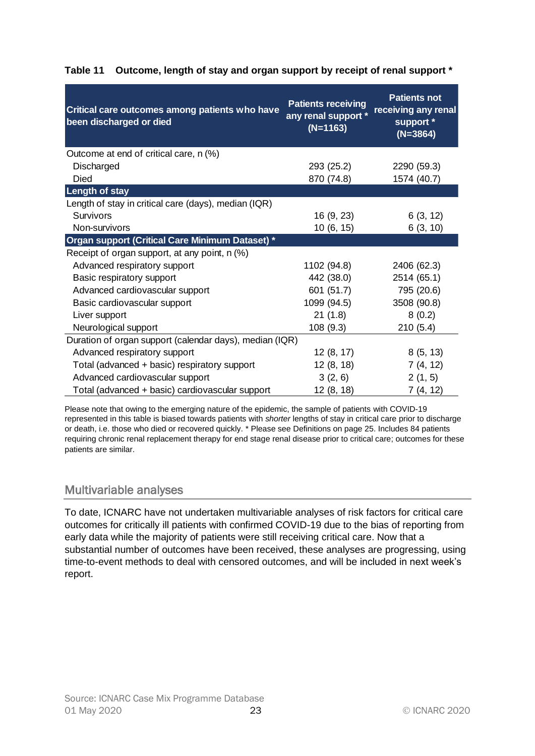| Critical care outcomes among patients who have<br>been discharged or died | <b>Patients receiving</b><br>any renal support *<br>$(N=1163)$ | <b>Patients not</b><br>receiving any renal<br>support *<br>$(N=3864)$ |
|---------------------------------------------------------------------------|----------------------------------------------------------------|-----------------------------------------------------------------------|
| Outcome at end of critical care, n (%)                                    |                                                                |                                                                       |
| Discharged                                                                | 293 (25.2)                                                     | 2290 (59.3)                                                           |
| <b>Died</b>                                                               | 870 (74.8)                                                     | 1574 (40.7)                                                           |
| <b>Length of stay</b>                                                     |                                                                |                                                                       |
| Length of stay in critical care (days), median (IQR)                      |                                                                |                                                                       |
| <b>Survivors</b>                                                          | 16 (9, 23)                                                     | 6(3, 12)                                                              |
| Non-survivors                                                             | 10 (6, 15)                                                     | 6(3, 10)                                                              |
| Organ support (Critical Care Minimum Dataset) *                           |                                                                |                                                                       |
| Receipt of organ support, at any point, n (%)                             |                                                                |                                                                       |
| Advanced respiratory support                                              | 1102 (94.8)                                                    | 2406 (62.3)                                                           |
| Basic respiratory support                                                 | 442 (38.0)                                                     | 2514 (65.1)                                                           |
| Advanced cardiovascular support                                           | 601 (51.7)                                                     | 795 (20.6)                                                            |
| Basic cardiovascular support                                              | 1099 (94.5)                                                    | 3508 (90.8)                                                           |
| Liver support                                                             | 21(1.8)                                                        | 8(0.2)                                                                |
| Neurological support                                                      | 108(9.3)                                                       | 210(5.4)                                                              |
| Duration of organ support (calendar days), median (IQR)                   |                                                                |                                                                       |
| Advanced respiratory support                                              | 12(8, 17)                                                      | 8(5, 13)                                                              |
| Total (advanced + basic) respiratory support                              | 12(8, 18)                                                      | 7(4, 12)                                                              |
| Advanced cardiovascular support                                           | 3(2, 6)                                                        | 2(1, 5)                                                               |
| Total (advanced + basic) cardiovascular support                           | 12 (8, 18)                                                     | 7 (4, 12)                                                             |

# <span id="page-22-1"></span>**Table 11 Outcome, length of stay and organ support by receipt of renal support \***

Please note that owing to the emerging nature of the epidemic, the sample of patients with COVID-19 represented in this table is biased towards patients with *shorter* lengths of stay in critical care prior to discharge or death, i.e. those who died or recovered quickly. \* Please see Definitions on page [25.](#page-24-0) Includes 84 patients requiring chronic renal replacement therapy for end stage renal disease prior to critical care; outcomes for these patients are similar.

# <span id="page-22-0"></span>Multivariable analyses

To date, ICNARC have not undertaken multivariable analyses of risk factors for critical care outcomes for critically ill patients with confirmed COVID-19 due to the bias of reporting from early data while the majority of patients were still receiving critical care. Now that a substantial number of outcomes have been received, these analyses are progressing, using time-to-event methods to deal with censored outcomes, and will be included in next week's report.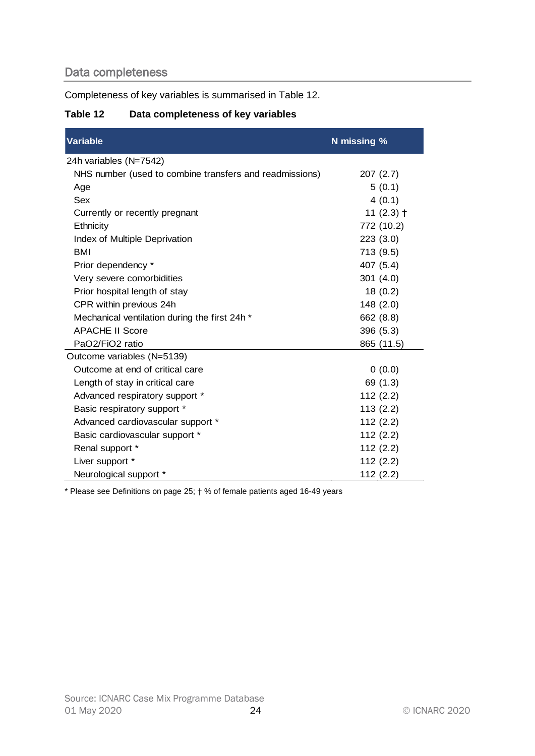# <span id="page-23-0"></span>Data completeness

Completeness of key variables is summarised in [Table 12.](#page-23-1)

# <span id="page-23-1"></span>**Table 12 Data completeness of key variables**

| <b>Variable</b>                                         | N missing %  |
|---------------------------------------------------------|--------------|
| 24h variables (N=7542)                                  |              |
| NHS number (used to combine transfers and readmissions) | 207(2.7)     |
| Age                                                     | 5(0.1)       |
| Sex                                                     | 4(0.1)       |
| Currently or recently pregnant                          | 11 $(2.3)$ † |
| Ethnicity                                               | 772 (10.2)   |
| Index of Multiple Deprivation                           | 223 (3.0)    |
| <b>BMI</b>                                              | 713 (9.5)    |
| Prior dependency *                                      | 407 (5.4)    |
| Very severe comorbidities                               | 301(4.0)     |
| Prior hospital length of stay                           | 18(0.2)      |
| CPR within previous 24h                                 | 148 (2.0)    |
| Mechanical ventilation during the first 24h *           | 662 (8.8)    |
| <b>APACHE II Score</b>                                  | 396 (5.3)    |
| PaO2/FiO2 ratio                                         | 865 (11.5)   |
| Outcome variables (N=5139)                              |              |
| Outcome at end of critical care                         | 0(0.0)       |
| Length of stay in critical care                         | 69 (1.3)     |
| Advanced respiratory support *                          | 112(2.2)     |
| Basic respiratory support *                             | 113(2.2)     |
| Advanced cardiovascular support *                       | 112(2.2)     |
| Basic cardiovascular support *                          | 112(2.2)     |
| Renal support *                                         | 112(2.2)     |
| Liver support *                                         | 112(2.2)     |
| Neurological support *                                  | 112(2.2)     |

\* Please see Definitions on page [25;](#page-24-0) † % of female patients aged 16-49 years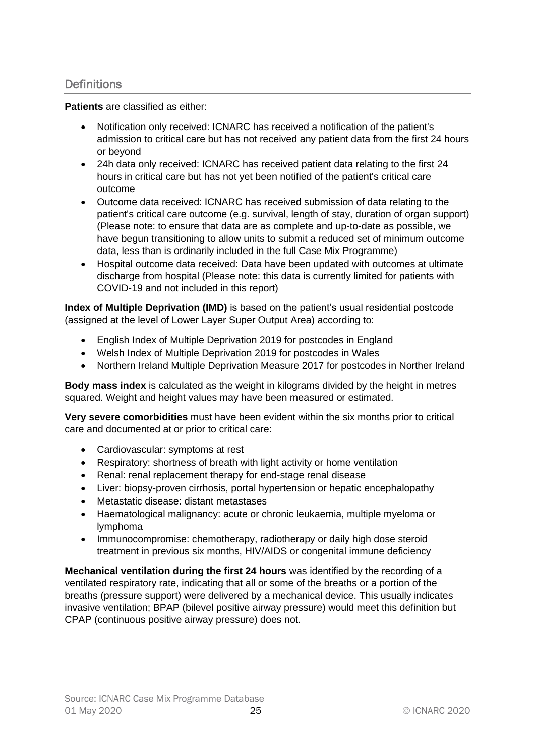# <span id="page-24-0"></span>**Definitions**

**Patients** are classified as either:

- Notification only received: ICNARC has received a notification of the patient's admission to critical care but has not received any patient data from the first 24 hours or beyond
- 24h data only received: ICNARC has received patient data relating to the first 24 hours in critical care but has not yet been notified of the patient's critical care outcome
- Outcome data received: ICNARC has received submission of data relating to the patient's critical care outcome (e.g. survival, length of stay, duration of organ support) (Please note: to ensure that data are as complete and up-to-date as possible, we have begun transitioning to allow units to submit a reduced set of minimum outcome data, less than is ordinarily included in the full Case Mix Programme)
- Hospital outcome data received: Data have been updated with outcomes at ultimate discharge from hospital (Please note: this data is currently limited for patients with COVID-19 and not included in this report)

**Index of Multiple Deprivation (IMD)** is based on the patient's usual residential postcode (assigned at the level of Lower Layer Super Output Area) according to:

- English Index of Multiple Deprivation 2019 for postcodes in England
- Welsh Index of Multiple Deprivation 2019 for postcodes in Wales
- Northern Ireland Multiple Deprivation Measure 2017 for postcodes in Norther Ireland

**Body mass index** is calculated as the weight in kilograms divided by the height in metres squared. Weight and height values may have been measured or estimated.

**Very severe comorbidities** must have been evident within the six months prior to critical care and documented at or prior to critical care:

- Cardiovascular: symptoms at rest
- Respiratory: shortness of breath with light activity or home ventilation
- Renal: renal replacement therapy for end-stage renal disease
- Liver: biopsy-proven cirrhosis, portal hypertension or hepatic encephalopathy
- Metastatic disease: distant metastases
- Haematological malignancy: acute or chronic leukaemia, multiple myeloma or lymphoma
- Immunocompromise: chemotherapy, radiotherapy or daily high dose steroid treatment in previous six months, HIV/AIDS or congenital immune deficiency

**Mechanical ventilation during the first 24 hours** was identified by the recording of a ventilated respiratory rate, indicating that all or some of the breaths or a portion of the breaths (pressure support) were delivered by a mechanical device. This usually indicates invasive ventilation; BPAP (bilevel positive airway pressure) would meet this definition but CPAP (continuous positive airway pressure) does not.